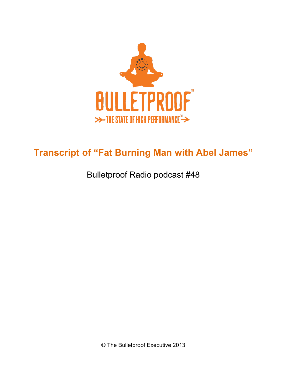

# **Transcript of "Fat Burning Man with Abel James"**

Bulletproof Radio podcast #48

 $\overline{\phantom{a}}$ 

© The Bulletproof Executive 2013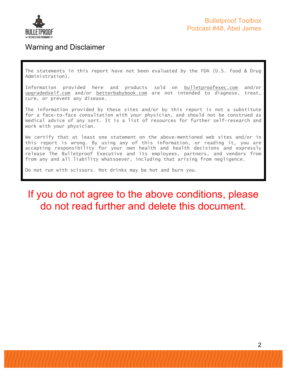

### Warning and Disclaimer

The statements in this report have not been evaluated by the FDA (U.S. Food & Drug Administration).

Information provided here and products sold on bulletproofexec.com and/or upgradedself.com and/or betterbabybook.com are not intended to diagnose, treat, cure, or prevent any disease.

The information provided by these sites and/or by this report is not a substitute for a face-to-face consultation with your physician, and should not be construed as medical advice of any sort. It is a list of resources for further self-research and work with your physician.

We certify that at least one statement on the above-mentioned web sites and/or in this report is wrong. By using any of this information, or reading it, you are accepting responsibility for your own health and health decisions and expressly release The Bulletproof Executive and its employees, partners, and vendors from from any and all liability whatsoever, including that arising from negligence.

Do not run with scissors. Hot drinks may be hot and burn you.

## If you do not agree to the above conditions, please do not read further and delete this document.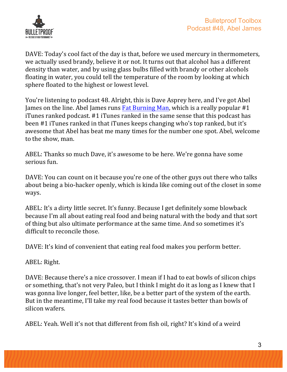

DAVE: Today's cool fact of the day is that, before we used mercury in thermometers, we actually used brandy, believe it or not. It turns out that alcohol has a different density than water, and by using glass bulbs filled with brandy or other alcohols floating in water, you could tell the temperature of the room by looking at which sphere floated to the highest or lowest level.

You're listening to podcast 48. Alright, this is Dave Asprey here, and I've got Abel James on the line. Abel James runs  $Fat Burning Man, which is a really popular #1$ </u> iTunes ranked podcast. #1 iTunes ranked in the same sense that this podcast has been #1 iTunes ranked in that iTunes keeps changing who's top ranked, but it's awesome that Abel has beat me many times for the number one spot. Abel, welcome to the show, man.

ABEL: Thanks so much Dave, it's awesome to be here. We're gonna have some serious fun.

DAVE: You can count on it because you're one of the other guys out there who talks about being a bio-hacker openly, which is kinda like coming out of the closet in some ways. 

ABEL: It's a dirty little secret. It's funny. Because I get definitely some blowback because I'm all about eating real food and being natural with the body and that sort of thing but also ultimate performance at the same time. And so sometimes it's difficult to reconcile those.

DAVE: It's kind of convenient that eating real food makes you perform better.

ABEL: Right.

DAVE: Because there's a nice crossover. I mean if I had to eat bowls of silicon chips or something, that's not very Paleo, but I think I might do it as long as I knew that I was gonna live longer, feel better, like, be a better part of the system of the earth. But in the meantime, I'll take my real food because it tastes better than bowls of silicon wafers.

ABEL: Yeah. Well it's not that different from fish oil, right? It's kind of a weird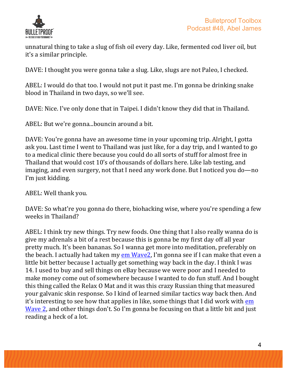

unnatural thing to take a slug of fish oil every day. Like, fermented cod liver oil, but it's a similar principle.

DAVE: I thought you were gonna take a slug. Like, slugs are not Paleo, I checked.

ABEL: I would do that too. I would not put it past me. I'm gonna be drinking snake blood in Thailand in two days, so we'll see.

DAVE: Nice. I've only done that in Taipei. I didn't know they did that in Thailand.

ABEL: But we're gonna...bouncin around a bit.

DAVE: You're gonna have an awesome time in your upcoming trip. Alright, I gotta ask you. Last time I went to Thailand was just like, for a day trip, and I wanted to go to a medical clinic there because you could do all sorts of stuff for almost free in Thailand that would cost 10's of thousands of dollars here. Like lab testing, and imaging, and even surgery, not that I need any work done. But I noticed you do—no I'm just kidding.

ABEL: Well thank you.

DAVE: So what're you gonna do there, biohacking wise, where you're spending a few weeks in Thailand?

ABEL: I think try new things. Try new foods. One thing that I also really wanna do is give my adrenals a bit of a rest because this is gonna be my first day off all year pretty much. It's been bananas. So I wanna get more into meditation, preferably on the beach. I actually had taken my em Wave2, I'm gonna see if I can make that even a little bit better because I actually get something way back in the day. I think I was 14. I used to buy and sell things on eBay because we were poor and I needed to make money come out of somewhere because I wanted to do fun stuff. And I bought this thing called the Relax O Mat and it was this crazy Russian thing that measured your galvanic skin response. So I kind of learned similar tactics way back then. And it's interesting to see how that applies in like, some things that I did work with em Wave 2, and other things don't. So I'm gonna be focusing on that a little bit and just reading a heck of a lot.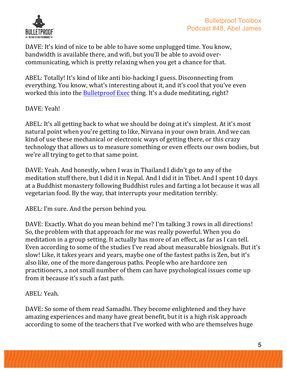

DAVE: It's kind of nice to be able to have some unplugged time. You know, bandwidth is available there, and wifi, but you'll be able to avoid overcommunicating, which is pretty relaxing when you get a chance for that.

ABEL: Totally! It's kind of like anti bio-hacking I guess. Disconnecting from everything. You know, what's interesting about it, and it's cool that you've even worked this into the Bulletproof Exec thing. It's a dude meditating, right?

DAVE: Yeah!

ABEL: It's all getting back to what we should be doing at it's simplest. At it's most natural point when you're getting to like, Nirvana in your own brain. And we can kind of use these mechanical or electronic ways of getting there, or this crazy technology that allows us to measure something or even effects our own bodies, but we're all trying to get to that same point.

DAVE: Yeah. And honestly, when I was in Thailand I didn't go to any of the meditation stuff there, but I did it in Nepal. And I did it in Tibet. And I spent 10 days at a Buddhist monastery following Buddhist rules and farting a lot because it was all vegetarian food. By the way, that interrupts your meditation terribly.

ABEL: I'm sure. And the person behind you.

DAVE: Exactly. What do you mean behind me? I'm talking 3 rows in all directions! So, the problem with that approach for me was really powerful. When you do meditation in a group setting. It actually has more of an effect, as far as I can tell. Even according to some of the studies I've read about measurable biosignals. But it's slow! Like, it takes years and years, maybe one of the fastest paths is Zen, but it's also like, one of the more dangerous paths. People who are hardcore zen practitioners, a not small number of them can have psychological issues come up from it because it's such a fast path.

ABEL: Yeah.

DAVE: So some of them read Samadhi. They become enlightened and they have amazing experiences and many have great benefit, but it is a high risk approach according to some of the teachers that I've worked with who are themselves huge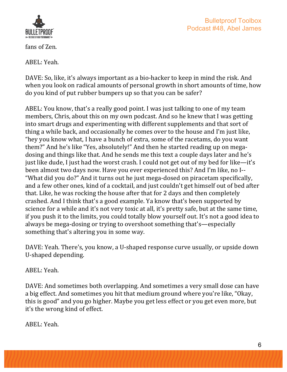

fans of Zen.

ABEL: Yeah.

DAVE: So, like, it's always important as a bio-hacker to keep in mind the risk. And when you look on radical amounts of personal growth in short amounts of time, how do you kind of put rubber bumpers up so that you can be safer?

ABEL: You know, that's a really good point. I was just talking to one of my team members, Chris, about this on my own podcast. And so he knew that I was getting into smart drugs and experimenting with different supplements and that sort of thing a while back, and occasionally he comes over to the house and I'm just like, "hey you know what, I have a bunch of extra, some of the racetams, do you want them?" And he's like "Yes, absolutely!" And then he started reading up on megadosing and things like that. And he sends me this text a couple days later and he's just like dude, I just had the worst crash. I could not get out of my bed for like—it's been almost two days now. Have you ever experienced this? And I'm like, no I--"What did you do?" And it turns out he just mega-dosed on piracetam specifically, and a few other ones, kind of a cocktail, and just couldn't get himself out of bed after that. Like, he was rocking the house after that for 2 days and then completely crashed. And I think that's a good example. Ya know that's been supported by science for a while and it's not very toxic at all, it's pretty safe, but at the same time, if you push it to the limits, you could totally blow yourself out. It's not a good idea to always be mega-dosing or trying to overshoot something that's—especially something that's altering you in some way.

DAVE: Yeah. There's, you know, a U-shaped response curve usually, or upside down U-shaped depending.

ABEL: Yeah.

DAVE: And sometimes both overlapping. And sometimes a very small dose can have a big effect. And sometimes you hit that medium ground where you're like, "Okay, this is good" and you go higher. Maybe you get less effect or you get even more, but it's the wrong kind of effect.

ABEL: Yeah.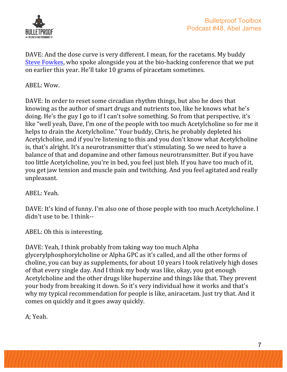

DAVE: And the dose curve is very different. I mean, for the racetams. My buddy Steve Fowkes, who spoke alongside you at the bio-hacking conference that we put on earlier this year. He'll take 10 grams of piracetam sometimes.

ABEL: Wow.

DAVE: In order to reset some circadian rhythm things, but also he does that knowing as the author of smart drugs and nutrients too, like he knows what he's doing. He's the guy I go to if I can't solve something. So from that perspective, it's like "well yeah, Dave, I'm one of the people with too much Acetylcholine so for me it helps to drain the Acetylcholine." Your buddy, Chris, he probably depleted his Acetylcholine, and if you're listening to this and you don't know what Acetylcholine is, that's alright. It's a neurotransmitter that's stimulating. So we need to have a balance of that and dopamine and other famous neurotransmitter. But if you have too little Acetylcholine, you're in bed, you feel just bleh. If you have too much of it, you get jaw tension and muscle pain and twitching. And you feel agitated and really unpleasant.

ABEL: Yeah.

DAVE: It's kind of funny. I'm also one of those people with too much Acetylcholine. I didn't use to be. I think--

ABEL: Oh this is interesting.

DAVE: Yeah, I think probably from taking way too much Alpha glycerylphosphorylcholine or Alpha GPC as it's called, and all the other forms of choline, you can buy as supplements, for about 10 years I took relatively high doses of that every single day. And I think my body was like, okay, you got enough Acetylcholine and the other drugs like huperzine and things like that. They prevent your body from breaking it down. So it's very individual how it works and that's why my typical recommendation for people is like, aniracetam. Just try that. And it comes on quickly and it goes away quickly.

A; Yeah.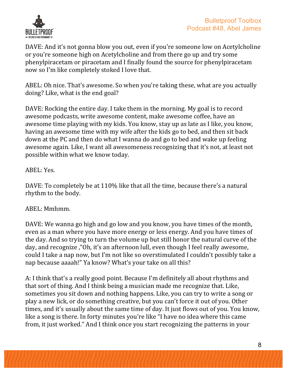

DAVE: And it's not gonna blow you out, even if you're someone low on Acetylcholine or you're someone high on Acetylcholine and from there go up and try some phenylpiracetam or piracetam and I finally found the source for phenylpiracetam now so I'm like completely stoked I love that.

ABEL: Oh nice. That's awesome. So when you're taking these, what are you actually doing? Like, what is the end goal?

DAVE: Rocking the entire day. I take them in the morning. My goal is to record awesome podcasts, write awesome content, make awesome coffee, have an awesome time playing with my kids. You know, stay up as late as I like, you know, having an awesome time with my wife after the kids go to bed, and then sit back down at the PC and then do what I wanna do and go to bed and wake up feeling awesome again. Like, I want all awesomeness recognizing that it's not, at least not possible within what we know today.

#### ABEL: Yes.

DAVE: To completely be at 110% like that all the time, because there's a natural rhythm to the body.

#### ABEL: Mmhmm.

DAVE: We wanna go high and go low and you know, you have times of the month. even as a man where you have more energy or less energy. And you have times of the day. And so trying to turn the volume up but still honor the natural curve of the day, and recognize, "Oh, it's an afternoon lull, even though I feel really awesome, could I take a nap now, but I'm not like so overstimulated I couldn't possibly take a nap because aaaah!" Ya know? What's your take on all this?

A: I think that's a really good point. Because I'm definitely all about rhythms and that sort of thing. And I think being a musician made me recognize that. Like, sometimes you sit down and nothing happens. Like, you can try to write a song or play a new lick, or do something creative, but you can't force it out of you. Other times, and it's usually about the same time of day. It just flows out of you. You know, like a song is there. In forty minutes you're like "I have no idea where this came from, it just worked." And I think once you start recognizing the patterns in your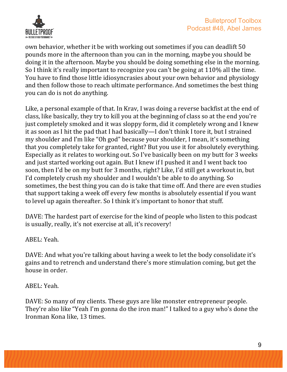

own behavior, whether it be with working out sometimes if you can deadlift 50 pounds more in the afternoon than you can in the morning, maybe you should be doing it in the afternoon. Maybe you should be doing something else in the morning. So I think it's really important to recognize you can't be going at  $110\%$  all the time. You have to find those little idiosyncrasies about your own behavior and physiology and then follow those to reach ultimate performance. And sometimes the best thing you can do is not do anything.

Like, a personal example of that. In Krav, I was doing a reverse backfist at the end of class, like basically, they try to kill you at the beginning of class so at the end you're just completely smoked and it was sloppy form, did it completely wrong and I knew it as soon as I hit the pad that I had basically—I don't think I tore it, but I strained my shoulder and I'm like "Oh god" because your shoulder, I mean, it's something that you completely take for granted, right? But you use it for absolutely everything. Especially as it relates to working out. So I've basically been on my butt for 3 weeks and just started working out again. But I knew if I pushed it and I went back too soon, then I'd be on my butt for 3 months, right? Like, I'd still get a workout in, but I'd completely crush my shoulder and I wouldn't be able to do anything. So sometimes, the best thing you can do is take that time off. And there are even studies that support taking a week off every few months is absolutely essential if you want to level up again thereafter. So I think it's important to honor that stuff.

DAVE: The hardest part of exercise for the kind of people who listen to this podcast is usually, really, it's not exercise at all, it's recovery!

ABEL: Yeah.

DAVE: And what you're talking about having a week to let the body consolidate it's gains and to retrench and understand there's more stimulation coming, but get the house in order.

ABEL: Yeah.

DAVE: So many of my clients. These guys are like monster entrepreneur people. They're also like "Yeah I'm gonna do the iron man!" I talked to a guy who's done the Ironman Kona like, 13 times.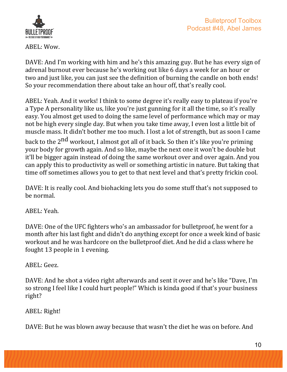

ABEL: Wow.

DAVE: And I'm working with him and he's this amazing guy. But he has every sign of adrenal burnout ever because he's working out like 6 days a week for an hour or two and just like, you can just see the definition of burning the candle on both ends! So your recommendation there about take an hour off, that's really cool.

ABEL: Yeah. And it works! I think to some degree it's really easy to plateau if you're a Type A personality like us, like you're just gunning for it all the time, so it's really easy. You almost get used to doing the same level of performance which may or may not be high every single day. But when you take time away, I even lost a little bit of muscle mass. It didn't bother me too much. I lost a lot of strength, but as soon I came back to the 2<sup>nd</sup> workout, I almost got all of it back. So then it's like you're priming your body for growth again. And so like, maybe the next one it won't be double but it'll be bigger again instead of doing the same workout over and over again. And you can apply this to productivity as well or something artistic in nature. But taking that time off sometimes allows you to get to that next level and that's pretty frickin cool.

DAVE: It is really cool. And biohacking lets you do some stuff that's not supposed to be normal.

ABEL: Yeah.

DAVE: One of the UFC fighters who's an ambassador for bulletproof, he went for a month after his last fight and didn't do anything except for once a week kind of basic workout and he was hardcore on the bulletproof diet. And he did a class where he fought  $13$  people in  $1$  evening.

ABEL: Geez.

DAVE: And he shot a video right afterwards and sent it over and he's like "Dave, I'm so strong I feel like I could hurt people!" Which is kinda good if that's your business right?

ABEL: Right!

DAVE: But he was blown away because that wasn't the diet he was on before. And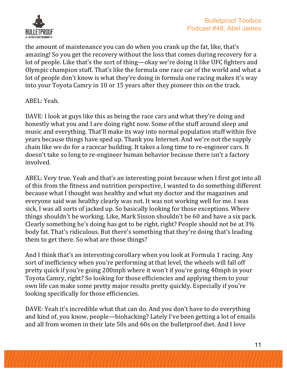

the amount of maintenance you can do when you crank up the fat, like, that's amazing! So you get the recovery without the loss that comes during recovery for a lot of people. Like that's the sort of thing—okay we're doing it like UFC fighters and Olympic champion stuff. That's like the formula one race car of the world and what a lot of people don't know is what they're doing in formula one racing makes it's way into your Toyota Camry in 10 or 15 years after they pioneer this on the track.

ABEL: Yeah.

DAVE: I look at guys like this as being the race cars and what they're doing and honestly what you and I are doing right now. Some of the stuff around sleep and music and everything. That'll make its way into normal population stuff within five years because things have sped up. Thank you Internet. And we're not the supply chain like we do for a racecar building. It takes a long time to re-engineer cars. It doesn't take so long to re-engineer human behavior because there isn't a factory involved.

ABEL: Very true. Yeah and that's an interesting point because when I first got into all of this from the fitness and nutrition perspective, I wanted to do something different because what I thought was healthy and what my doctor and the magazines and everyone said was healthy clearly was not. It was not working well for me. I was sick, I was all sorts of jacked up. So basically looking for those exceptions. Where things shouldn't be working. Like, Mark Sisson shouldn't be 60 and have a six pack. Clearly something he's doing has got to be right, right? People should not be at  $3\%$ body fat. That's ridiculous. But there's something that they're doing that's leading them to get there. So what are those things?

And I think that's an interesting corollary when you look at Formula 1 racing. Any sort of inefficiency when you're performing at that level, the wheels will fall off pretty quick if you're going 200mph where it won't if you're going 40mph in your Toyota Camry, right? So looking for those efficiencies and applying them to your own life can make some pretty major results pretty quickly. Especially if you're looking specifically for those efficiencies.

DAVE: Yeah it's incredible what that can do. And you don't have to do everything and kind of, you know, people—biohacking? Lately I've been getting a lot of emails and all from women in their late 50s and 60s on the bulletproof diet. And I love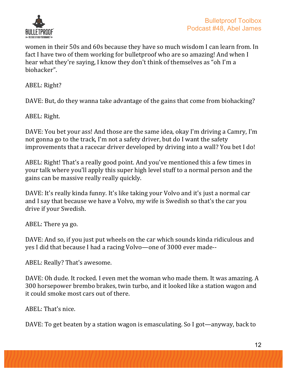

women in their 50s and 60s because they have so much wisdom I can learn from. In fact I have two of them working for bulletproof who are so amazing! And when I hear what they're saying, I know they don't think of themselves as "oh I'm a biohacker".

ABEL: Right?

DAVE: But, do they wanna take advantage of the gains that come from biohacking?

ABEL: Right.

DAVE: You bet your ass! And those are the same idea, okay I'm driving a Camry, I'm not gonna go to the track, I'm not a safety driver, but do I want the safety improvements that a racecar driver developed by driving into a wall? You bet I do!

ABEL: Right! That's a really good point. And you've mentioned this a few times in your talk where you'll apply this super high level stuff to a normal person and the gains can be massive really really quickly.

DAVE: It's really kinda funny. It's like taking your Volvo and it's just a normal car and I say that because we have a Volvo, my wife is Swedish so that's the car you drive if your Swedish.

ABEL: There ya go.

DAVE: And so, if you just put wheels on the car which sounds kinda ridiculous and yes I did that because I had a racing Volvo—one of 3000 ever made--

ABEL: Really? That's awesome.

DAVE: Oh dude. It rocked. I even met the woman who made them. It was amazing. A 300 horsepower brembo brakes, twin turbo, and it looked like a station wagon and it could smoke most cars out of there.

ABEL: That's nice.

DAVE: To get beaten by a station wagon is emasculating. So I got—anyway, back to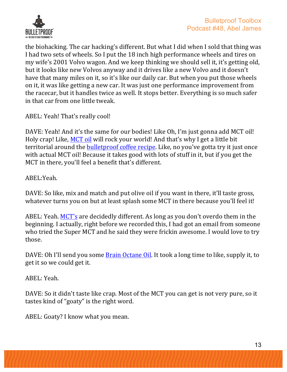

the biohacking. The car hacking's different. But what I did when I sold that thing was I had two sets of wheels. So I put the 18 inch high performance wheels and tires on my wife's 2001 Volvo wagon. And we keep thinking we should sell it, it's getting old, but it looks like new Volvos anyway and it drives like a new Volvo and it doesn't have that many miles on it, so it's like our daily car. But when you put those wheels on it, it was like getting a new car. It was just one performance improvement from the racecar, but it handles twice as well. It stops better. Everything is so much safer in that car from one little tweak.

ABEL: Yeah! That's really cool!

DAVE: Yeah! And it's the same for our bodies! Like Oh, I'm just gonna add MCT oil! Holy crap! Like, MCT oil will rock your world! And that's why I get a little bit territorial around the bulletproof coffee recipe. Like, no you've gotta try it just once with actual MCT oil! Because it takes good with lots of stuff in it, but if you get the MCT in there, you'll feel a benefit that's different.

ABEL:Yeah.

DAVE: So like, mix and match and put olive oil if you want in there, it'll taste gross, whatever turns you on but at least splash some MCT in there because you'll feel it!

ABEL: Yeah. MCT's are decidedly different. As long as you don't overdo them in the beginning. I actually, right before we recorded this, I had got an email from someone who tried the Super MCT and he said they were frickin awesome. I would love to try those.

DAVE: Oh I'll send you some **Brain Octane Oil**. It took a long time to like, supply it, to get it so we could get it.

ABEL: Yeah.

DAVE: So it didn't taste like crap. Most of the MCT you can get is not very pure, so it tastes kind of "goaty" is the right word.

ABEL: Goaty? I know what you mean.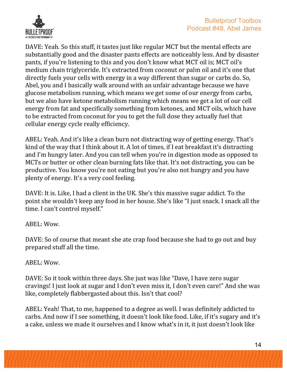

DAVE: Yeah. So this stuff, it tastes just like regular MCT but the mental effects are substantially good and the disaster pants effects are noticeably less. And by disaster pants, if you're listening to this and you don't know what MCT oil is; MCT oil's medium chain triglyceride. It's extracted from coconut or palm oil and it's one that directly fuels your cells with energy in a way different than sugar or carbs do. So, Abel, you and I basically walk around with an unfair advantage because we have glucose metabolism running, which means we get some of our energy from carbs, but we also have ketone metabolism running which means we get a lot of our cell energy from fat and specifically something from ketones, and MCT oils, which have to be extracted from coconut for you to get the full dose they actually fuel that cellular energy cycle really efficiency.

ABEL: Yeah. And it's like a clean burn not distracting way of getting energy. That's kind of the way that I think about it. A lot of times, if I eat breakfast it's distracting and I'm hungry later. And you can tell when you're in digestion mode as opposed to MCTs or butter or other clean burning fats like that. It's not distracting, you can be productive. You know you're not eating but you're also not hungry and you have plenty of energy. It's a very cool feeling.

DAVE: It is. Like, I had a client in the UK. She's this massive sugar addict. To the point she wouldn't keep any food in her house. She's like "I just snack. I snack all the time. I can't control myself."

ABEL: Wow.

DAVE: So of course that meant she ate crap food because she had to go out and buy prepared stuff all the time.

ABEL: Wow.

DAVE: So it took within three days. She just was like "Dave, I have zero sugar cravings! I just look at sugar and I don't even miss it, I don't even care!" And she was like, completely flabbergasted about this. Isn't that cool?

ABEL: Yeah! That, to me, happened to a degree as well. I was definitely addicted to carbs. And now if I see something, it doesn't look like food. Like, if it's sugary and it's a cake, unless we made it ourselves and I know what's in it, it just doesn't look like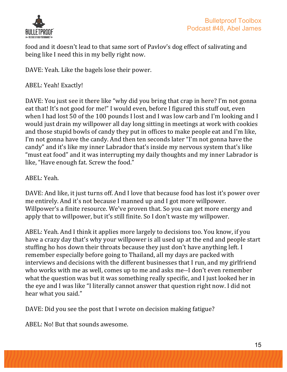

food and it doesn't lead to that same sort of Pavlov's dog effect of salivating and being like I need this in my belly right now.

DAVE: Yeah. Like the bagels lose their power.

ABEL: Yeah! Exactly!

DAVE: You just see it there like "why did you bring that crap in here? I'm not gonna eat that! It's not good for me!" I would even, before I figured this stuff out, even when I had lost 50 of the 100 pounds I lost and I was low carb and I'm looking and I would just drain my willpower all day long sitting in meetings at work with cookies and those stupid bowls of candy they put in offices to make people eat and I'm like, I'm not gonna have the candy. And then ten seconds later "I'm not gonna have the candy" and it's like my inner Labrador that's inside my nervous system that's like "must eat food" and it was interrupting my daily thoughts and my inner Labrador is like, "Have enough fat. Screw the food."

ABEL: Yeah.

DAVE: And like, it just turns off. And I love that because food has lost it's power over me entirely. And it's not because I manned up and I got more willpower. Willpower's a finite resource. We've proven that. So you can get more energy and apply that to willpower, but it's still finite. So I don't waste my willpower.

ABEL: Yeah. And I think it applies more largely to decisions too. You know, if you have a crazy day that's why your willpower is all used up at the end and people start stuffing ho hos down their throats because they just don't have anything left. I remember especially before going to Thailand, all my days are packed with interviews and decisions with the different businesses that I run, and my girlfriend who works with me as well, comes up to me and asks me--I don't even remember what the question was but it was something really specific, and I just looked her in the eye and I was like "I literally cannot answer that question right now. I did not hear what you said."

DAVE: Did you see the post that I wrote on decision making fatigue?

ABEL: No! But that sounds awesome.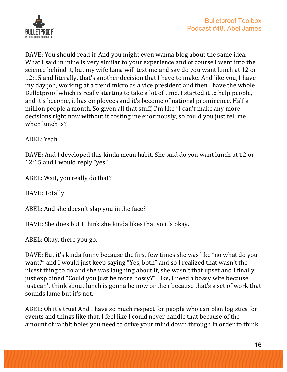

DAVE: You should read it. And you might even wanna blog about the same idea. What I said in mine is very similar to your experience and of course I went into the science behind it, but my wife Lana will text me and say do you want lunch at 12 or 12:15 and literally, that's another decision that I have to make. And like you, I have my day job, working at a trend micro as a vice president and then I have the whole Bulletproof which is really starting to take a lot of time. I started it to help people, and it's become, it has employees and it's become of national prominence. Half a million people a month. So given all that stuff, I'm like "I can't make any more decisions right now without it costing me enormously, so could you just tell me when lunch is?

ABEL: Yeah.

DAVE: And I developed this kinda mean habit. She said do you want lunch at 12 or 12:15 and I would reply "yes".

ABEL: Wait, you really do that?

DAVE: Totally!

ABEL: And she doesn't slap you in the face?

DAVE: She does but I think she kinda likes that so it's okay.

ABEL: Okay, there you go.

DAVE: But it's kinda funny because the first few times she was like "no what do you want?" and I would just keep saying "Yes, both" and so I realized that wasn't the nicest thing to do and she was laughing about it, she wasn't that upset and I finally just explained "Could you just be more bossy?" Like, I need a bossy wife because I just can't think about lunch is gonna be now or then because that's a set of work that sounds lame but it's not.

ABEL: Oh it's true! And I have so much respect for people who can plan logistics for events and things like that. I feel like I could never handle that because of the amount of rabbit holes you need to drive your mind down through in order to think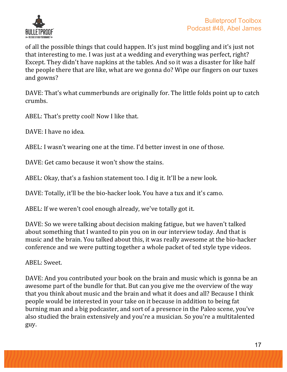

of all the possible things that could happen. It's just mind boggling and it's just not that interesting to me. I was just at a wedding and everything was perfect, right? Except. They didn't have napkins at the tables. And so it was a disaster for like half the people there that are like, what are we gonna do? Wipe our fingers on our tuxes and gowns?

DAVE: That's what cummerbunds are originally for. The little folds point up to catch crumbs.

ABEL: That's pretty cool! Now I like that.

DAVE: I have no idea.

ABEL: I wasn't wearing one at the time. I'd better invest in one of those.

DAVE: Get camo because it won't show the stains.

ABEL: Okay, that's a fashion statement too. I dig it. It'll be a new look.

DAVE: Totally, it'll be the bio-hacker look. You have a tux and it's camo.

ABEL: If we weren't cool enough already, we've totally got it.

DAVE: So we were talking about decision making fatigue, but we haven't talked about something that I wanted to pin you on in our interview today. And that is music and the brain. You talked about this, it was really awesome at the bio-hacker conference and we were putting together a whole packet of ted style type videos.

ABEL: Sweet.

DAVE: And you contributed your book on the brain and music which is gonna be an awesome part of the bundle for that. But can you give me the overview of the way that you think about music and the brain and what it does and all? Because I think people would be interested in your take on it because in addition to being fat burning man and a big podcaster, and sort of a presence in the Paleo scene, you've also studied the brain extensively and you're a musician. So you're a multitalented guy.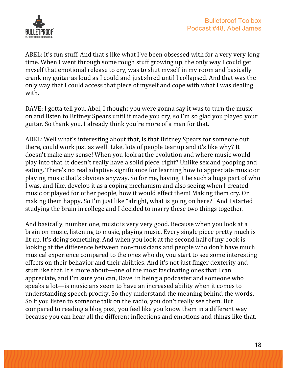

ABEL: It's fun stuff. And that's like what I've been obsessed with for a very very long time. When I went through some rough stuff growing up, the only way I could get myself that emotional release to cry, was to shut myself in my room and basically crank my guitar as loud as I could and just shred until I collapsed. And that was the only way that I could access that piece of myself and cope with what I was dealing with.

DAVE: I gotta tell you, Abel, I thought you were gonna say it was to turn the music on and listen to Britney Spears until it made you cry, so I'm so glad you played your guitar. So thank you. I already think you're more of a man for that.

ABEL: Well what's interesting about that, is that Britney Spears for someone out there, could work just as well! Like, lots of people tear up and it's like why? It doesn't make any sense! When you look at the evolution and where music would play into that, it doesn't really have a solid piece, right? Unlike sex and pooping and eating. There's no real adaptive significance for learning how to appreciate music or playing music that's obvious anyway. So for me, having it be such a huge part of who I was, and like, develop it as a coping mechanism and also seeing when I created music or played for other people, how it would effect them! Making them cry. Or making them happy. So I'm just like "alright, what is going on here?" And I started studying the brain in college and I decided to marry these two things together.

And basically, number one, music is very very good. Because when you look at a brain on music, listening to music, playing music. Every single piece pretty much is lit up. It's doing something. And when you look at the second half of my book is looking at the difference between non-musicians and people who don't have much musical experience compared to the ones who do, you start to see some interesting effects on their behavior and their abilities. And it's not just finger dexterity and stuff like that. It's more about—one of the most fascinating ones that I can appreciate, and I'm sure you can, Dave, in being a podcaster and someone who speaks a lot—is musicians seem to have an increased ability when it comes to understanding speech procity. So they understand the meaning behind the words. So if you listen to someone talk on the radio, you don't really see them. But compared to reading a blog post, you feel like you know them in a different way because you can hear all the different inflections and emotions and things like that.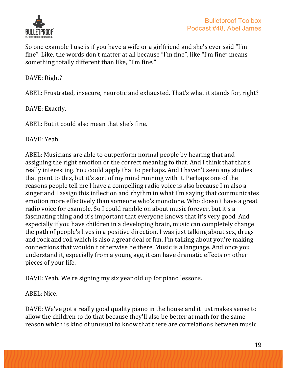

So one example I use is if you have a wife or a girlfriend and she's ever said "I'm fine". Like, the words don't matter at all because "I'm fine", like "I'm fine" means something totally different than like, "I'm fine."

DAVE: Right?

ABEL: Frustrated, insecure, neurotic and exhausted. That's what it stands for, right?

DAVE: Exactly.

ABEL: But it could also mean that she's fine.

DAVE: Yeah.

ABEL: Musicians are able to outperform normal people by hearing that and assigning the right emotion or the correct meaning to that. And I think that that's really interesting. You could apply that to perhaps. And I haven't seen any studies that point to this, but it's sort of my mind running with it. Perhaps one of the reasons people tell me I have a compelling radio voice is also because I'm also a singer and I assign this inflection and rhythm in what I'm saying that communicates emotion more effectively than someone who's monotone. Who doesn't have a great radio voice for example. So I could ramble on about music forever, but it's a fascinating thing and it's important that everyone knows that it's very good. And especially if you have children in a developing brain, music can completely change the path of people's lives in a positive direction. I was just talking about sex, drugs and rock and roll which is also a great deal of fun. I'm talking about you're making connections that wouldn't otherwise be there. Music is a language. And once you understand it, especially from a young age, it can have dramatic effects on other pieces of your life.

DAVE: Yeah. We're signing my six year old up for piano lessons.

ABEL: Nice.

DAVE: We've got a really good quality piano in the house and it just makes sense to allow the children to do that because they'll also be better at math for the same reason which is kind of unusual to know that there are correlations between music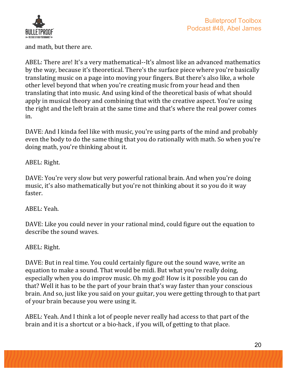

and math, but there are.

ABEL: There are! It's a very mathematical--It's almost like an advanced mathematics by the way, because it's theoretical. There's the surface piece where you're basically translating music on a page into moving your fingers. But there's also like, a whole other level beyond that when you're creating music from your head and then translating that into music. And using kind of the theoretical basis of what should apply in musical theory and combining that with the creative aspect. You're using the right and the left brain at the same time and that's where the real power comes in.

DAVE: And I kinda feel like with music, you're using parts of the mind and probably even the body to do the same thing that you do rationally with math. So when you're doing math, you're thinking about it.

ABEL: Right.

DAVE: You're very slow but very powerful rational brain. And when you're doing music, it's also mathematically but you're not thinking about it so you do it way faster.

ABEL: Yeah.

DAVE: Like you could never in your rational mind, could figure out the equation to describe the sound waves.

ABEL: Right.

DAVE: But in real time. You could certainly figure out the sound wave, write an equation to make a sound. That would be midi. But what you're really doing, especially when you do improv music. Oh my god! How is it possible you can do that? Well it has to be the part of your brain that's way faster than your conscious brain. And so, just like you said on your guitar, you were getting through to that part of your brain because you were using it.

ABEL: Yeah. And I think a lot of people never really had access to that part of the brain and it is a shortcut or a bio-hack, if you will, of getting to that place.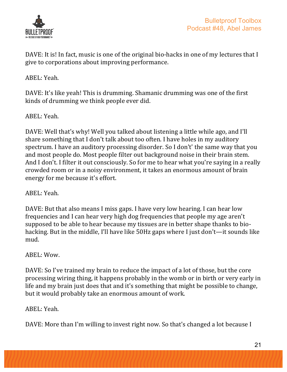

DAVE: It is! In fact, music is one of the original bio-hacks in one of my lectures that I give to corporations about improving performance.

ABEL: Yeah.

DAVE: It's like yeah! This is drumming. Shamanic drumming was one of the first kinds of drumming we think people ever did.

ABEL: Yeah.

DAVE: Well that's why! Well you talked about listening a little while ago, and I'll share something that I don't talk about too often. I have holes in my auditory spectrum. I have an auditory processing disorder. So I don't' the same way that you and most people do. Most people filter out background noise in their brain stem. And I don't. I filter it out consciously. So for me to hear what you're saying in a really crowded room or in a noisy environment, it takes an enormous amount of brain energy for me because it's effort.

ABEL: Yeah.

DAVE: But that also means I miss gaps. I have very low hearing. I can hear low frequencies and I can hear very high dog frequencies that people my age aren't supposed to be able to hear because my tissues are in better shape thanks to biohacking. But in the middle, I'll have like 50Hz gaps where I just don't—it sounds like mud.

ABEL: Wow.

DAVE: So I've trained my brain to reduce the impact of a lot of those, but the core processing wiring thing, it happens probably in the womb or in birth or very early in life and my brain just does that and it's something that might be possible to change, but it would probably take an enormous amount of work.

ABEL: Yeah.

DAVE: More than I'm willing to invest right now. So that's changed a lot because I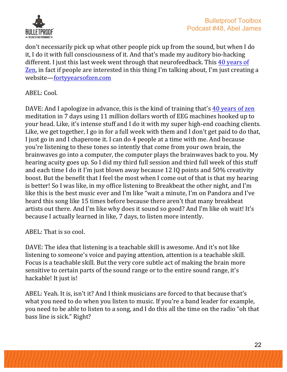

don't necessarily pick up what other people pick up from the sound, but when I do it, I do it with full consciousness of it. And that's made my auditory bio-hacking different. I just this last week went through that neurofeedback. This 40 years of Zen, in fact if people are interested in this thing I'm talking about, I'm just creating a website—fortyyearsofzen.com

ABEL: Cool.

DAVE: And I apologize in advance, this is the kind of training that's 40 years of zen meditation in 7 days using 11 million dollars worth of EEG machines hooked up to your head. Like, it's intense stuff and I do it with my super high-end coaching clients. Like, we get together, I go in for a full week with them and I don't get paid to do that, I just go in and I chaperone it. I can do 4 people at a time with me. And because you're listening to these tones so intently that come from your own brain, the brainwaves go into a computer, the computer plays the brainwaves back to you. My hearing acuity goes up. So I did my third full session and third full week of this stuff and each time I do it I'm just blown away because 12 IQ points and 50% creativity boost. But the benefit that I feel the most when I come out of that is that my hearing is better! So I was like, in my office listening to Breakbeat the other night, and I'm like this is the best music ever and I'm like "wait a minute, I'm on Pandora and I've heard this song like 15 times before because there aren't that many breakbeat artists out there. And I'm like why does it sound so good? And I'm like oh wait! It's because I actually learned in like, 7 days, to listen more intently.

 $ABEL: That is so cool.$ 

DAVE: The idea that listening is a teachable skill is awesome. And it's not like listening to someone's voice and paying attention, attention is a teachable skill. Focus is a teachable skill. But the very core subtle act of making the brain more sensitive to certain parts of the sound range or to the entire sound range, it's hackable! It just is!

ABEL: Yeah. It is, isn't it? And I think musicians are forced to that because that's what you need to do when you listen to music. If you're a band leader for example, you need to be able to listen to a song, and I do this all the time on the radio "oh that bass line is sick." Right?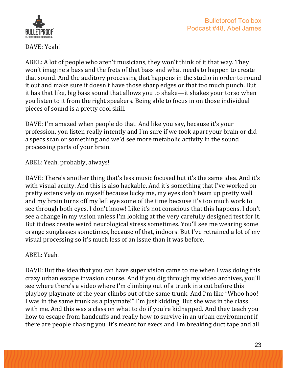



DAVE: Yeah!

ABEL: A lot of people who aren't musicians, they won't think of it that way. They won't imagine a bass and the frets of that bass and what needs to happen to create that sound. And the auditory processing that happens in the studio in order to round it out and make sure it doesn't have those sharp edges or that too much punch. But it has that like, big bass sound that allows you to shake—it shakes your torso when you listen to it from the right speakers. Being able to focus in on those individual pieces of sound is a pretty cool skill.

DAVE: I'm amazed when people do that. And like you say, because it's your profession, you listen really intently and I'm sure if we took apart your brain or did a specs scan or something and we'd see more metabolic activity in the sound processing parts of your brain.

ABEL: Yeah, probably, always!

DAVE: There's another thing that's less music focused but it's the same idea. And it's with visual acuity. And this is also hackable. And it's something that I've worked on pretty extensively on myself because lucky me, my eyes don't team up pretty well and my brain turns off my left eye some of the time because it's too much work to see through both eyes. I don't know! Like it's not conscious that this happens. I don't see a change in my vision unless I'm looking at the very carefully designed test for it. But it does create weird neurological stress sometimes. You'll see me wearing some orange sunglasses sometimes, because of that, indoors. But I've retrained a lot of my visual processing so it's much less of an issue than it was before.

ABEL: Yeah.

DAVE: But the idea that you can have super vision came to me when I was doing this crazy urban escape invasion course. And if you dig through my video archives, you'll see where there's a video where I'm climbing out of a trunk in a cut before this playboy playmate of the year climbs out of the same trunk. And I'm like "Whoo hoo! I was in the same trunk as a playmate!" I'm just kidding. But she was in the class with me. And this was a class on what to do if you're kidnapped. And they teach you how to escape from handcuffs and really how to survive in an urban environment if there are people chasing you. It's meant for execs and I'm breaking duct tape and all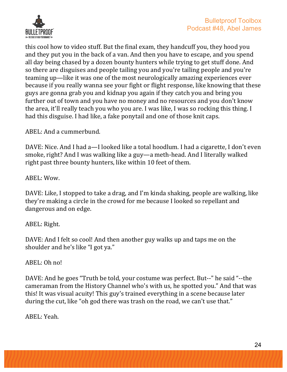

this cool how to video stuff. But the final exam, they handcuff you, they hood you and they put you in the back of a van. And then you have to escape, and you spend all day being chased by a dozen bounty hunters while trying to get stuff done. And so there are disguises and people tailing you and you're tailing people and you're teaming up—like it was one of the most neurologically amazing experiences ever because if you really wanna see your fight or flight response, like knowing that these guys are gonna grab you and kidnap you again if they catch you and bring you further out of town and you have no money and no resources and you don't know the area, it'll really teach you who you are. I was like, I was so rocking this thing. I had this disguise. I had like, a fake ponytail and one of those knit caps.

ABEL: And a cummerbund.

DAVE: Nice. And I had a—I looked like a total hoodlum. I had a cigarette, I don't even smoke, right? And I was walking like a guy—a meth-head. And I literally walked right past three bounty hunters, like within 10 feet of them.

ABEL: Wow.

DAVE: Like, I stopped to take a drag, and I'm kinda shaking, people are walking, like they're making a circle in the crowd for me because I looked so repellant and dangerous and on edge.

#### ABEL: Right.

DAVE: And I felt so cool! And then another guy walks up and taps me on the shoulder and he's like "I got ya."

ABEL: Oh no!

DAVE: And he goes "Truth be told, your costume was perfect. But--" he said "--the cameraman from the History Channel who's with us, he spotted you." And that was this! It was visual acuity! This guy's trained everything in a scene because later during the cut, like "oh god there was trash on the road, we can't use that."

ABEL: Yeah.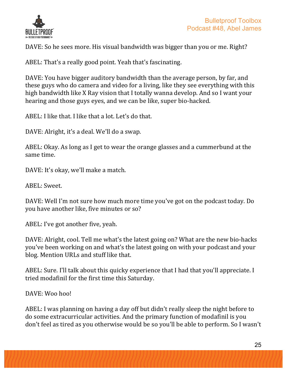

DAVE: So he sees more. His visual bandwidth was bigger than you or me. Right?

ABEL: That's a really good point. Yeah that's fascinating.

DAVE: You have bigger auditory bandwidth than the average person, by far, and these guys who do camera and video for a living, like they see everything with this high bandwidth like X Ray vision that I totally wanna develop. And so I want your hearing and those guys eves, and we can be like, super bio-hacked.

ABEL: I like that. I like that a lot. Let's do that.

DAVE: Alright, it's a deal. We'll do a swap.

ABEL: Okay. As long as I get to wear the orange glasses and a cummerbund at the same time.

DAVE: It's okay, we'll make a match.

ABEL: Sweet.

DAVE: Well I'm not sure how much more time you've got on the podcast today. Do you have another like, five minutes or so?

ABEL: I've got another five, yeah.

DAVE: Alright, cool. Tell me what's the latest going on? What are the new bio-hacks you've been working on and what's the latest going on with your podcast and your blog. Mention URLs and stuff like that.

ABEL: Sure. I'll talk about this quicky experience that I had that you'll appreciate. I tried modafinil for the first time this Saturday.

DAVE: Woo hoo!

ABEL: I was planning on having a day off but didn't really sleep the night before to do some extracurricular activities. And the primary function of modafinil is you don't feel as tired as you otherwise would be so you'll be able to perform. So I wasn't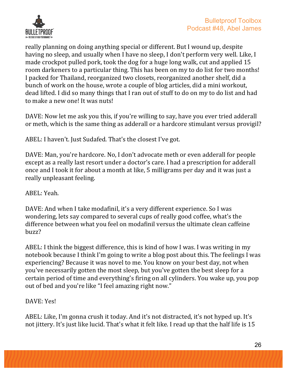

really planning on doing anything special or different. But I wound up, despite having no sleep, and usually when I have no sleep, I don't perform very well. Like, I made crockpot pulled pork, took the dog for a huge long walk, cut and applied 15 room darkeners to a particular thing. This has been on my to do list for two months! I packed for Thailand, reorganized two closets, reorganized another shelf, did a bunch of work on the house, wrote a couple of blog articles, did a mini workout, dead lifted. I did so many things that I ran out of stuff to do on my to do list and had to make a new one! It was nuts!

DAVE: Now let me ask you this, if you're willing to say, have you ever tried adderall or meth, which is the same thing as adderall or a hardcore stimulant versus provigil?

ABEL: I haven't. Just Sudafed. That's the closest I've got.

DAVE: Man, you're hardcore. No, I don't advocate meth or even adderall for people except as a really last resort under a doctor's care. I had a prescription for adderall once and I took it for about a month at like, 5 milligrams per day and it was just a really unpleasant feeling.

ABEL: Yeah.

DAVE: And when I take modafinil, it's a very different experience. So I was wondering, lets say compared to several cups of really good coffee, what's the difference between what you feel on modafinil versus the ultimate clean caffeine buzz?

ABEL: I think the biggest difference, this is kind of how I was. I was writing in my notebook because I think I'm going to write a blog post about this. The feelings I was experiencing? Because it was novel to me. You know on your best day, not when you've necessarily gotten the most sleep, but you've gotten the best sleep for a certain period of time and everything's firing on all cylinders. You wake up, you pop out of bed and you're like "I feel amazing right now."

DAVE: Yes!

ABEL: Like, I'm gonna crush it today. And it's not distracted, it's not hyped up. It's not jittery. It's just like lucid. That's what it felt like. I read up that the half life is 15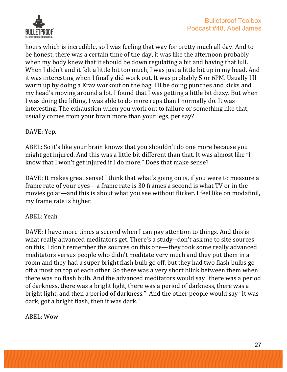

hours which is incredible, so I was feeling that way for pretty much all day. And to be honest, there was a certain time of the day, it was like the afternoon probably when my body knew that it should be down regulating a bit and having that lull. When I didn't and it felt a little bit too much, I was just a little bit up in my head. And it was interesting when I finally did work out. It was probably 5 or 6PM. Usually I'll warm up by doing a Krav workout on the bag. I'll be doing punches and kicks and my head's moving around a lot. I found that I was getting a little bit dizzy. But when I was doing the lifting. I was able to do more reps than I normally do. It was interesting. The exhaustion when you work out to failure or something like that, usually comes from your brain more than your legs, per say?

#### DAVE: Yep.

ABEL: So it's like your brain knows that you shouldn't do one more because you might get injured. And this was a little bit different than that. It was almost like "I know that I won't get injured if I do more." Does that make sense?

DAVE: It makes great sense! I think that what's going on is, if you were to measure a frame rate of your eyes—a frame rate is 30 frames a second is what TV or in the movies go at—and this is about what you see without flicker. I feel like on modafinil, my frame rate is higher.

#### ABEL: Yeah.

DAVE: I have more times a second when I can pay attention to things. And this is what really advanced meditators get. There's a study--don't ask me to site sources on this, I don't remember the sources on this one—they took some really advanced meditators versus people who didn't meditate very much and they put them in a room and they had a super bright flash bulb go off, but they had two flash bulbs go off almost on top of each other. So there was a very short blink between them when there was no flash bulb. And the advanced meditators would say "there was a period of darkness, there was a bright light, there was a period of darkness, there was a bright light, and then a period of darkness." And the other people would say "It was dark, got a bright flash, then it was dark."

ABEL: Wow.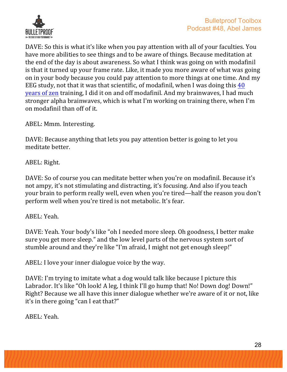

DAVE: So this is what it's like when you pay attention with all of your faculties. You have more abilities to see things and to be aware of things. Because meditation at the end of the day is about awareness. So what I think was going on with modafinil is that it turned up your frame rate. Like, it made you more aware of what was going on in your body because you could pay attention to more things at one time. And my EEG study, not that it was that scientific, of modafinil, when I was doing this  $40$ years of zen training, I did it on and off modafinil. And my brainwaves, I had much stronger alpha brainwaves, which is what I'm working on training there, when I'm on modafinil than off of it. 

ABEL: Mmm. Interesting.

DAVE: Because anything that lets you pay attention better is going to let you meditate better.

ABEL: Right.

DAVE: So of course you can meditate better when you're on modafinil. Because it's not ampy, it's not stimulating and distracting, it's focusing. And also if you teach your brain to perform really well, even when you're tired—half the reason you don't perform well when you're tired is not metabolic. It's fear.

ABEL: Yeah.

DAVE: Yeah. Your body's like "oh I needed more sleep. Oh goodness, I better make sure you get more sleep." and the low level parts of the nervous system sort of stumble around and they're like "I'm afraid, I might not get enough sleep!"

ABEL: I love your inner dialogue voice by the way.

DAVE: I'm trying to imitate what a dog would talk like because I picture this Labrador. It's like "Oh look! A leg, I think I'll go hump that! No! Down dog! Down!" Right? Because we all have this inner dialogue whether we're aware of it or not, like it's in there going "can I eat that?"

ABEL: Yeah.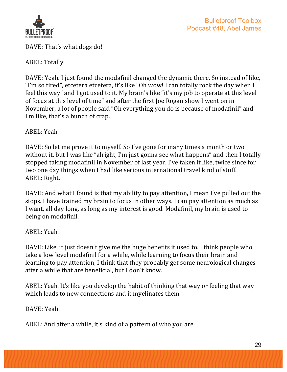

DAVE: That's what dogs do!

ABEL: Totally.

DAVE: Yeah. I just found the modafinil changed the dynamic there. So instead of like, "I'm so tired", etcetera etcetera, it's like "Oh wow! I can totally rock the day when I feel this way" and I got used to it. My brain's like "it's my job to operate at this level of focus at this level of time" and after the first Joe Rogan show I went on in November, a lot of people said "Oh everything you do is because of modafinil" and I'm like, that's a bunch of crap.

ABEL: Yeah.

DAVE: So let me prove it to myself. So I've gone for many times a month or two without it, but I was like "alright, I'm just gonna see what happens" and then I totally stopped taking modafinil in November of last year. I've taken it like, twice since for two one day things when I had like serious international travel kind of stuff. ABEL: Right.

DAVE: And what I found is that my ability to pay attention, I mean I've pulled out the stops. I have trained my brain to focus in other ways. I can pay attention as much as I want, all day long, as long as my interest is good. Modafinil, my brain is used to being on modafinil.

ABEL: Yeah.

DAVE: Like, it just doesn't give me the huge benefits it used to. I think people who take a low level modafinil for a while, while learning to focus their brain and learning to pay attention, I think that they probably get some neurological changes after a while that are beneficial, but I don't know.

ABEL: Yeah. It's like you develop the habit of thinking that way or feeling that way which leads to new connections and it myelinates them--

DAVE: Yeah!

ABEL: And after a while, it's kind of a pattern of who you are.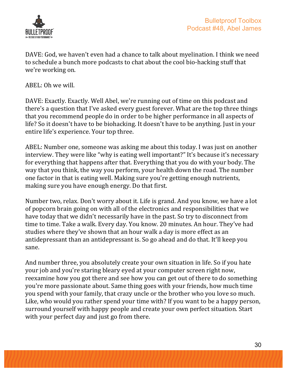

DAVE: God, we haven't even had a chance to talk about myelination. I think we need to schedule a bunch more podcasts to chat about the cool bio-hacking stuff that we're working on.

ABEL: Oh we will.

DAVE: Exactly. Exactly. Well Abel, we're running out of time on this podcast and there's a question that I've asked every guest forever. What are the top three things that you recommend people do in order to be higher performance in all aspects of life? So it doesn't have to be biohacking. It doesn't have to be anything. Just in your entire life's experience. Your top three.

ABEL: Number one, someone was asking me about this today. I was just on another interview. They were like "why is eating well important?" It's because it's necessary for everything that happens after that. Everything that you do with your body. The way that you think, the way you perform, your health down the road. The number one factor in that is eating well. Making sure you're getting enough nutrients, making sure you have enough energy. Do that first.

Number two, relax. Don't worry about it. Life is grand. And you know, we have a lot of popcorn brain going on with all of the electronics and responsibilities that we have today that we didn't necessarily have in the past. So try to disconnect from time to time. Take a walk. Every day. You know. 20 minutes. An hour. They've had studies where they've shown that an hour walk a day is more effect as an antidepressant than an antidepressant is. So go ahead and do that. It'll keep you sane. 

And number three, you absolutely create your own situation in life. So if you hate your job and you're staring bleary eyed at your computer screen right now, reexamine how you got there and see how you can get out of there to do something you're more passionate about. Same thing goes with your friends, how much time you spend with your family, that crazy uncle or the brother who you love so much. Like, who would you rather spend your time with? If you want to be a happy person, surround yourself with happy people and create your own perfect situation. Start with your perfect day and just go from there.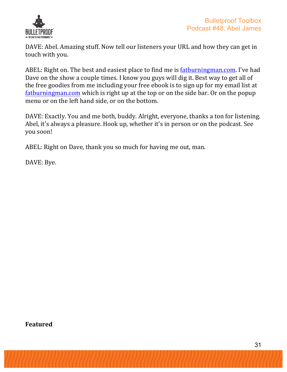

DAVE: Abel. Amazing stuff. Now tell our listeners your URL and how they can get in touch with you.

ABEL: Right on. The best and easiest place to find me is fatburningman.com. I've had Dave on the show a couple times. I know you guys will dig it. Best way to get all of the free goodies from me including your free ebook is to sign up for my email list at fatburningman.com which is right up at the top or on the side bar. Or on the popup menu or on the left hand side, or on the bottom.

DAVE: Exactly. You and me both, buddy. Alright, everyone, thanks a ton for listening. Abel, it's always a pleasure. Hook up, whether it's in person or on the podcast. See you soon!

ABEL: Right on Dave, thank you so much for having me out, man.

DAVE: Bye.

**Featured**